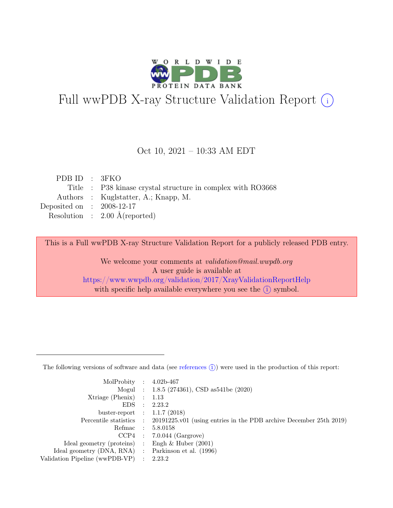

# Full wwPDB X-ray Structure Validation Report  $(i)$

#### Oct 10, 2021 – 10:33 AM EDT

| PDBID : 3FKO                |                                                             |
|-----------------------------|-------------------------------------------------------------|
|                             | Title : P38 kinase crystal structure in complex with RO3668 |
|                             | Authors : Kuglstatter, A.; Knapp, M.                        |
| Deposited on : $2008-12-17$ |                                                             |
|                             | Resolution : $2.00 \text{ Å}$ (reported)                    |
|                             |                                                             |

This is a Full wwPDB X-ray Structure Validation Report for a publicly released PDB entry.

We welcome your comments at validation@mail.wwpdb.org A user guide is available at <https://www.wwpdb.org/validation/2017/XrayValidationReportHelp> with specific help available everywhere you see the  $(i)$  symbol.

The following versions of software and data (see [references](https://www.wwpdb.org/validation/2017/XrayValidationReportHelp#references)  $(i)$ ) were used in the production of this report:

| MolProbity : $4.02b-467$                            |                                                                                            |
|-----------------------------------------------------|--------------------------------------------------------------------------------------------|
|                                                     |                                                                                            |
|                                                     | Mogul : 1.8.5 (274361), CSD as 541be (2020)                                                |
| $Xtriangle (Phenix)$ : 1.13                         |                                                                                            |
|                                                     | EDS : 2.23.2                                                                               |
| buster-report : $1.1.7$ (2018)                      |                                                                                            |
|                                                     | Percentile statistics : 20191225.v01 (using entries in the PDB archive December 25th 2019) |
| Refmac : 5.8.0158                                   |                                                                                            |
|                                                     | $CCP4$ : 7.0.044 (Gargrove)                                                                |
| Ideal geometry (proteins) : Engh $\&$ Huber (2001)  |                                                                                            |
| Ideal geometry (DNA, RNA) : Parkinson et al. (1996) |                                                                                            |
| Validation Pipeline (wwPDB-VP) : 2.23.2             |                                                                                            |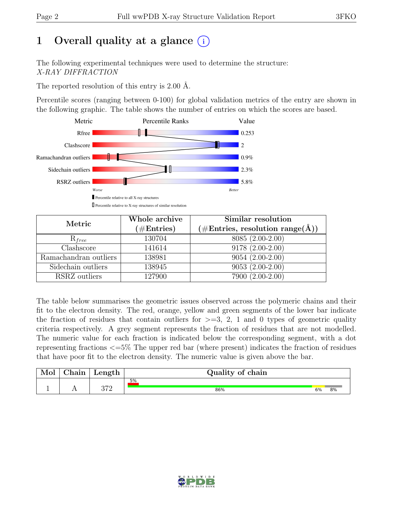# 1 Overall quality at a glance  $(i)$

The following experimental techniques were used to determine the structure: X-RAY DIFFRACTION

The reported resolution of this entry is 2.00 Å.

Percentile scores (ranging between 0-100) for global validation metrics of the entry are shown in the following graphic. The table shows the number of entries on which the scores are based.



| Metric                | Whole archive<br>$(\#\text{Entries})$ | Similar resolution<br>$(\# \text{Entries}, \text{ resolution } \text{range}(\AA))$ |
|-----------------------|---------------------------------------|------------------------------------------------------------------------------------|
| $R_{free}$            | 130704                                | 8085 (2.00-2.00)                                                                   |
| Clashscore            | 141614                                | $9178(2.00-2.00)$                                                                  |
| Ramachandran outliers | 138981                                | $9054(2.00-2.00)$                                                                  |
| Sidechain outliers    | 138945                                | $9053(2.00-2.00)$                                                                  |
| RSRZ outliers         | 127900                                | 7900 (2.00-2.00)                                                                   |

The table below summarises the geometric issues observed across the polymeric chains and their fit to the electron density. The red, orange, yellow and green segments of the lower bar indicate the fraction of residues that contain outliers for  $\geq$ =3, 2, 1 and 0 types of geometric quality criteria respectively. A grey segment represents the fraction of residues that are not modelled. The numeric value for each fraction is indicated below the corresponding segment, with a dot representing fractions <=5% The upper red bar (where present) indicates the fraction of residues that have poor fit to the electron density. The numeric value is given above the bar.

| Mol | $\alpha$ hain | Length      | Quality of chain |    |    |
|-----|---------------|-------------|------------------|----|----|
|     |               |             | 5%               |    |    |
|     | . .           | הדה<br>⊿ו ∪ | 86%              | 6% | 8% |

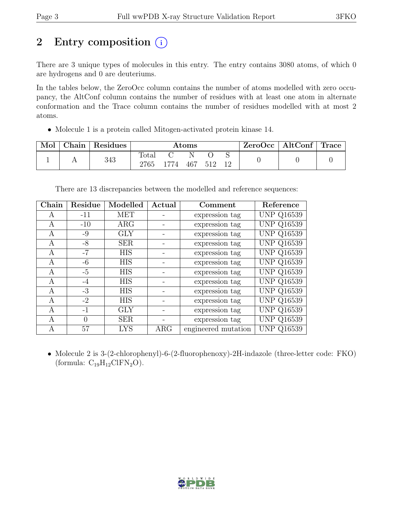# 2 Entry composition  $(i)$

There are 3 unique types of molecules in this entry. The entry contains 3080 atoms, of which 0 are hydrogens and 0 are deuteriums.

In the tables below, the ZeroOcc column contains the number of atoms modelled with zero occupancy, the AltConf column contains the number of residues with at least one atom in alternate conformation and the Trace column contains the number of residues modelled with at most 2 atoms.

• Molecule 1 is a protein called Mitogen-activated protein kinase 14.

| Mol | ⊤ Chain ' | Residues | $\rm{Atoms}$  |      |          |     |    | $\text{ZeroOcc}$   AltConf   Trace |  |
|-----|-----------|----------|---------------|------|----------|-----|----|------------------------------------|--|
|     |           | 343      | Total<br>2765 | 1774 | N<br>467 | 512 | 19 |                                    |  |

There are 13 discrepancies between the modelled and reference sequences:

| Chain | Residue  | Modelled   | Actual     | Comment             | Reference         |
|-------|----------|------------|------------|---------------------|-------------------|
| A     | $-11$    | <b>MET</b> |            | expression tag      | <b>UNP Q16539</b> |
| A     | $-10$    | $\rm{ARG}$ |            | expression tag      | <b>UNP Q16539</b> |
| A     | $-9$     | <b>GLY</b> |            | expression tag      | <b>UNP Q16539</b> |
| A     | $-8$     | <b>SER</b> |            | expression tag      | <b>UNP Q16539</b> |
| A     | $-7$     | <b>HIS</b> |            | expression tag      | <b>UNP Q16539</b> |
| A     | $-6$     | <b>HIS</b> |            | expression tag      | <b>UNP Q16539</b> |
| A     | $-5$     | <b>HIS</b> |            | expression tag      | <b>UNP Q16539</b> |
| A     | $-4$     | <b>HIS</b> |            | expression tag      | <b>UNP Q16539</b> |
| A     | $-3$     | <b>HIS</b> |            | expression tag      | <b>UNP Q16539</b> |
| A     | $-2$     | <b>HIS</b> |            | expression tag      | <b>UNP Q16539</b> |
| A     | $-1$     | <b>GLY</b> |            | expression tag      | <b>UNP Q16539</b> |
| А     | $\Omega$ | <b>SER</b> |            | expression tag      | <b>UNP Q16539</b> |
| А     | 57       | <b>LYS</b> | $\rm{ARG}$ | engineered mutation | <b>UNP Q16539</b> |

• Molecule 2 is 3-(2-chlorophenyl)-6-(2-fluorophenoxy)-2H-indazole (three-letter code: FKO) (formula:  $C_{19}H_{12}CIFN_2O$ ).

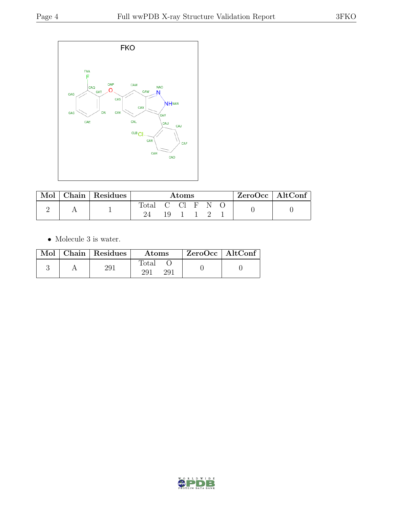

| $Mol \mid$ | $\vert$ Chain $\vert$ Residues | Atoms |                |  |  |  | $ZeroOcc \   \$ AltConf |  |
|------------|--------------------------------|-------|----------------|--|--|--|-------------------------|--|
|            |                                | Total | - C CI F<br>19 |  |  |  |                         |  |

 $\bullet\,$  Molecule 3 is water.

|  | Mol   Chain   Residues | Atoms        | ZeroOcc   AltConf |  |
|--|------------------------|--------------|-------------------|--|
|  | 291                    | fotal<br>291 |                   |  |

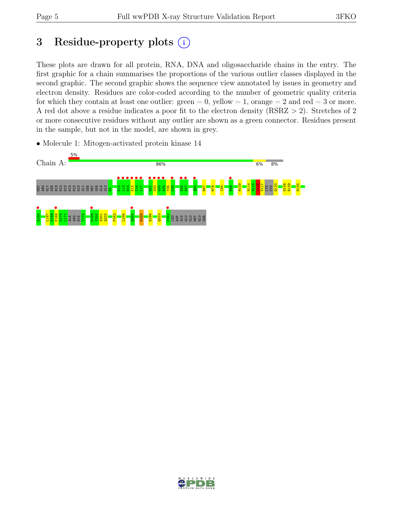# 3 Residue-property plots  $(i)$

These plots are drawn for all protein, RNA, DNA and oligosaccharide chains in the entry. The first graphic for a chain summarises the proportions of the various outlier classes displayed in the second graphic. The second graphic shows the sequence view annotated by issues in geometry and electron density. Residues are color-coded according to the number of geometric quality criteria for which they contain at least one outlier:  $green = 0$ , yellow  $= 1$ , orange  $= 2$  and red  $= 3$  or more. A red dot above a residue indicates a poor fit to the electron density (RSRZ > 2). Stretches of 2 or more consecutive residues without any outlier are shown as a green connector. Residues present in the sample, but not in the model, are shown in grey.

• Molecule 1: Mitogen-activated protein kinase 14



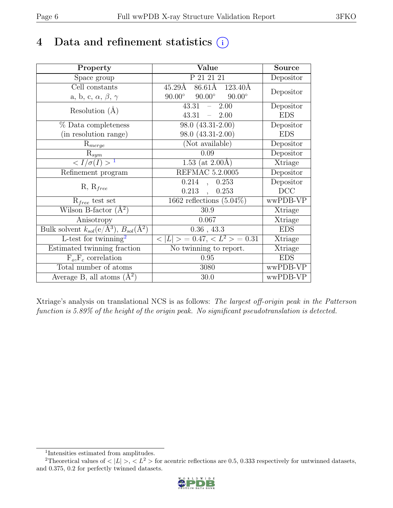# 4 Data and refinement statistics  $(i)$

| Property                                                             | Value                                           | <b>Source</b>  |
|----------------------------------------------------------------------|-------------------------------------------------|----------------|
| Space group                                                          | P 21 21 21                                      | Depositor      |
| Cell constants                                                       | 86.61Å 123.40Å<br>$45.29\text{\AA}$             | Depositor      |
| a, b, c, $\alpha$ , $\beta$ , $\gamma$                               | $90.00^\circ$<br>$90.00^\circ$<br>$90.00^\circ$ |                |
| Resolution $(A)$                                                     | 43.31<br>2.00<br>$\frac{1}{2}$                  | Depositor      |
|                                                                      | 43.31<br>$-2.00$                                | <b>EDS</b>     |
| % Data completeness                                                  | 98.0 (43.31-2.00)                               | Depositor      |
| (in resolution range)                                                | 98.0 (43.31-2.00)                               | <b>EDS</b>     |
| $R_{merge}$                                                          | (Not available)                                 | Depositor      |
| $\mathrm{R}_{sym}$                                                   | 0.09                                            | Depositor      |
| $\langle I/\sigma(I) \rangle$ <sup>1</sup>                           | 1.53 (at $2.00\text{\AA}$ )                     | Xtriage        |
| Refinement program                                                   | <b>REFMAC 5.2.0005</b>                          | Depositor      |
|                                                                      | 0.214<br>0.253<br>$\ddot{\phantom{0}}$          | Depositor      |
| $R, R_{free}$                                                        | 0.213<br>0.253<br>$\mathbb{R}^2$                | DCC            |
| $R_{free}$ test set                                                  | 1662 reflections $(5.04\%)$                     | wwPDB-VP       |
| Wilson B-factor $(A^2)$                                              | 30.9                                            | Xtriage        |
| Anisotropy                                                           | 0.067                                           | Xtriage        |
| Bulk solvent $k_{sol}(e/\mathring{A}^3)$ , $B_{sol}(\mathring{A}^2)$ | $0.36$ , $43.3\,$                               | <b>EDS</b>     |
| L-test for $\mathrm{twinning}^2$                                     | $< L >$ = 0.47, $< L2 >$ = 0.31                 | <b>Xtriage</b> |
| Estimated twinning fraction                                          | No twinning to report.                          | Xtriage        |
| $\overline{F_o,F_c}$ correlation                                     | 0.95                                            | <b>EDS</b>     |
| Total number of atoms                                                | 3080                                            | wwPDB-VP       |
| Average B, all atoms $(A^2)$                                         | 30.0                                            | wwPDB-VP       |

Xtriage's analysis on translational NCS is as follows: The largest off-origin peak in the Patterson function is 5.89% of the height of the origin peak. No significant pseudotranslation is detected.

<sup>&</sup>lt;sup>2</sup>Theoretical values of  $\langle |L| \rangle$ ,  $\langle L^2 \rangle$  for acentric reflections are 0.5, 0.333 respectively for untwinned datasets, and 0.375, 0.2 for perfectly twinned datasets.



<span id="page-5-1"></span><span id="page-5-0"></span><sup>1</sup> Intensities estimated from amplitudes.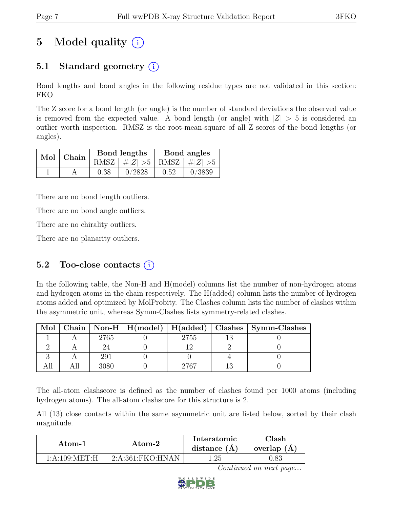# 5 Model quality  $(i)$

# 5.1 Standard geometry  $(i)$

Bond lengths and bond angles in the following residue types are not validated in this section: FKO

The Z score for a bond length (or angle) is the number of standard deviations the observed value is removed from the expected value. A bond length (or angle) with  $|Z| > 5$  is considered an outlier worth inspection. RMSZ is the root-mean-square of all Z scores of the bond lengths (or angles).

| $Mol$ Chain |      | Bond lengths                      | Bond angles |        |  |
|-------------|------|-----------------------------------|-------------|--------|--|
|             |      | RMSZ $ #Z  > 5$   RMSZ $ #Z  > 5$ |             |        |  |
|             | 0.38 | 0/2828                            | 0.52        | 0/3839 |  |

There are no bond length outliers.

There are no bond angle outliers.

There are no chirality outliers.

There are no planarity outliers.

### 5.2 Too-close contacts  $(i)$

In the following table, the Non-H and H(model) columns list the number of non-hydrogen atoms and hydrogen atoms in the chain respectively. The H(added) column lists the number of hydrogen atoms added and optimized by MolProbity. The Clashes column lists the number of clashes within the asymmetric unit, whereas Symm-Clashes lists symmetry-related clashes.

| Mol |      |      | Chain   Non-H   H(model)   H(added)   Clashes   Symm-Clashes |
|-----|------|------|--------------------------------------------------------------|
|     | 2765 | 2755 |                                                              |
|     |      |      |                                                              |
|     | 291  |      |                                                              |
|     |      | 9767 |                                                              |

The all-atom clashscore is defined as the number of clashes found per 1000 atoms (including hydrogen atoms). The all-atom clashscore for this structure is 2.

All (13) close contacts within the same asymmetric unit are listed below, sorted by their clash magnitude.

| Atom-1          | Atom-2           | Interatomic<br>distance $(A)$ | Clash<br>overlap $(A)$ |
|-----------------|------------------|-------------------------------|------------------------|
| 1: A:109: MET:H | 2:A:361:FKO:HNAN | 1.25                          |                        |

Continued on next page...

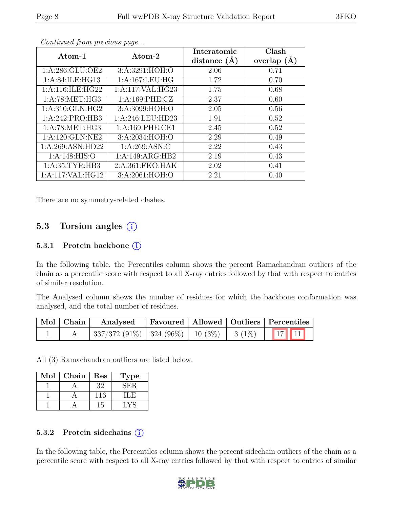| Atom-1             | Atom-2            | Interatomic<br>distance $(A)$ | Clash<br>overlap $(A)$ |
|--------------------|-------------------|-------------------------------|------------------------|
| 1: A:286: GLU:OE2  | 3:A:3291:HOH:O    | 2.06                          | 0.71                   |
| 1: A:84: ILE: HG13 | 1:A:167:LEU:HG    | 1.72                          | 0.70                   |
| 1:A:116:ILE:HG22   | 1:A:117:VAL:HG23  | 1.75                          | 0.68                   |
| 1: A:78: MET:HG3   | 1:A:169:PHE:CZ    | 2.37                          | 0.60                   |
| 1: A:310: GLN: HG2 | 3:A:3099:HOH:O    | 2.05                          | 0.56                   |
| 1:A:242:PRO:HB3    | 1:A:246:LEU:HD23  | 1.91                          | 0.52                   |
| 1: A:78: MET:HG3   | 1: A:169: PHE:CE1 | 2.45                          | 0.52                   |
| 1: A:120: GLN: NE2 | 3:A:2034:HOH:O    | 2.29                          | 0.49                   |
| 1:A:269:ASN:HD22   | 1: A:269: ASN: C  | 2.22                          | 0.43                   |
| 1: A:148: HIS:O    | 1:A:149:ARG:HB2   | 2.19                          | 0.43                   |
| 1: A:35:TYR:HB3    | 2:A:361:FKO:HAK   | 2.02                          | 0.41                   |
| 1:A:117:VAL:HG12   | 3:A:2061:HOH:O    | 2.21                          | 0.40                   |

Continued from previous page...

There are no symmetry-related clashes.

### 5.3 Torsion angles (i)

#### 5.3.1 Protein backbone (i)

In the following table, the Percentiles column shows the percent Ramachandran outliers of the chain as a percentile score with respect to all X-ray entries followed by that with respect to entries of similar resolution.

The Analysed column shows the number of residues for which the backbone conformation was analysed, and the total number of residues.

|  | Mol Chain Analysed Favoured Allowed Outliers Percentiles |  |  |  |
|--|----------------------------------------------------------|--|--|--|
|  | $337/372$ (91%) $324$ (96%) 10 (3%) 3 (1%) 17 11         |  |  |  |

All (3) Ramachandran outliers are listed below:

| Mol | Chain | Res | Type |
|-----|-------|-----|------|
|     |       | 32  | √F¦R |
|     |       |     |      |
|     |       | -5  |      |

#### 5.3.2 Protein side chains  $(i)$

In the following table, the Percentiles column shows the percent sidechain outliers of the chain as a percentile score with respect to all X-ray entries followed by that with respect to entries of similar

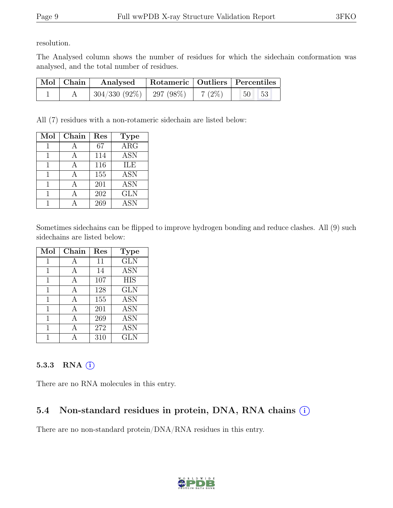resolution.

The Analysed column shows the number of residues for which the sidechain conformation was analysed, and the total number of residues.

| $\mid$ Mol $\mid$ Chain $\mid$ | Rotameric   Outliers   Percentiles<br>Analysed |  |          |                            |  |
|--------------------------------|------------------------------------------------|--|----------|----------------------------|--|
|                                | $\mid 304/330$ $(92\%) \mid 297$ $(98\%)$      |  | $7(2\%)$ | $\sqrt{50}$<br>$\sqrt{53}$ |  |

All (7) residues with a non-rotameric sidechain are listed below:

| Mol | Chain | Res | <b>Type</b> |
|-----|-------|-----|-------------|
|     |       | 67  | ARG         |
|     |       | 114 | <b>ASN</b>  |
| 1   | A     | 116 | ILE         |
|     |       | 155 | <b>ASN</b>  |
| 1   | А     | 201 | <b>ASN</b>  |
|     |       | 202 | <b>GLN</b>  |
|     |       | 269 | <b>ASN</b>  |

Sometimes sidechains can be flipped to improve hydrogen bonding and reduce clashes. All (9) such sidechains are listed below:

| Mol | Chain | Res | <b>Type</b>       |
|-----|-------|-----|-------------------|
| 1   | A     | 11  | <b>GLN</b>        |
| 1   | А     | 14  | <b>ASN</b>        |
| 1   | A     | 107 | <b>HIS</b>        |
| 1   | А     | 128 | <b>GLN</b>        |
| 1   | A     | 155 | <b>ASN</b>        |
| 1   | А     | 201 | <b>ASN</b>        |
| 1   |       | 269 | <b>ASN</b>        |
| 1   | А     | 272 | $\overline{A}$ SN |
|     |       | 310 | <b>GLN</b>        |

#### 5.3.3 RNA  $(i)$

There are no RNA molecules in this entry.

# 5.4 Non-standard residues in protein, DNA, RNA chains  $(i)$

There are no non-standard protein/DNA/RNA residues in this entry.

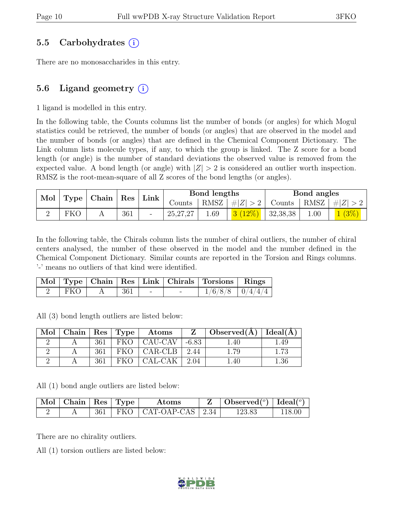### 5.5 Carbohydrates (i)

There are no monosaccharides in this entry.

### 5.6 Ligand geometry  $(i)$

1 ligand is modelled in this entry.

In the following table, the Counts columns list the number of bonds (or angles) for which Mogul statistics could be retrieved, the number of bonds (or angles) that are observed in the model and the number of bonds (or angles) that are defined in the Chemical Component Dictionary. The Link column lists molecule types, if any, to which the group is linked. The Z score for a bond length (or angle) is the number of standard deviations the observed value is removed from the expected value. A bond length (or angle) with  $|Z| > 2$  is considered an outlier worth inspection. RMSZ is the root-mean-square of all Z scores of the bond lengths (or angles).

| Mol |     | $\vert$ Type $\vert$ Chain $\vert$ Res $\vert$ |     | $\perp$ Link |            | Bond lengths |                                   | Bond angles |                                                    |
|-----|-----|------------------------------------------------|-----|--------------|------------|--------------|-----------------------------------|-------------|----------------------------------------------------|
|     |     |                                                |     |              | Counts     |              |                                   |             | RMSZ $  \#  Z  > 2$   Counts   RMSZ $  \#  Z  > 2$ |
|     | FKO |                                                | 361 |              | 25, 27, 27 | 1.69         | $\frac{3(12\%)}{3(2\%)}$ 32,38,38 | 1.00        | 1(3%)                                              |

In the following table, the Chirals column lists the number of chiral outliers, the number of chiral centers analysed, the number of these observed in the model and the number defined in the Chemical Component Dictionary. Similar counts are reported in the Torsion and Rings columns. '-' means no outliers of that kind were identified.

|     |      |                          | Mol   Type   Chain   Res   Link   Chirals   Torsions   Rings |                       |
|-----|------|--------------------------|--------------------------------------------------------------|-----------------------|
| FKO | -361 | $\overline{\phantom{0}}$ |                                                              | $1/6/8/8$   $0/4/4/4$ |

All (3) bond length outliers are listed below:

| Mol | Chain   Res   Type |     |       | $\boldsymbol{\mathrm{Atoms}}$ | Z           | Observed $(A)$   Ideal $(A)$ |          |
|-----|--------------------|-----|-------|-------------------------------|-------------|------------------------------|----------|
|     |                    | 361 |       | $FKO$   CAU-CAV               | $-6.83$     | 1.40                         | .49      |
|     |                    | 361 |       | $FKO   CAR-CLB  $             | $\mid$ 2.44 | 1.79                         | $1.73\,$ |
|     |                    | 361 | FKO - | CAL-CAK                       | $\mid$ 2.04 | $1.40\,$                     | $1.36\,$ |

All (1) bond angle outliers are listed below:

| $\sqrt{\text{Mol}}$ Chain   Res   Type |  | Atoms                            | $\mid$ Observed $({}^o)\mid$ Ideal $({}^o)$ |        |
|----------------------------------------|--|----------------------------------|---------------------------------------------|--------|
|                                        |  | $361$   FKO   CAT-OAP-CAS   2.34 | 123.83                                      | 118.00 |

There are no chirality outliers.

All (1) torsion outliers are listed below:

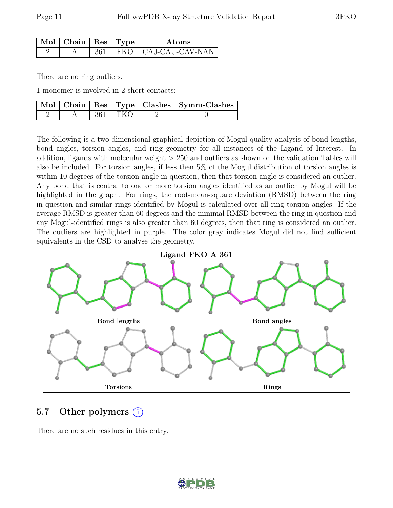| Mol   Chain   Res   Type |  | Atoms                         |
|--------------------------|--|-------------------------------|
|                          |  | $361$   FKO   CAJ-CAU-CAV-NAN |

There are no ring outliers.

1 monomer is involved in 2 short contacts:

|  |           | Mol   Chain   Res   Type   Clashes   Symm-Clashes |
|--|-----------|---------------------------------------------------|
|  | 361   FKO |                                                   |

The following is a two-dimensional graphical depiction of Mogul quality analysis of bond lengths, bond angles, torsion angles, and ring geometry for all instances of the Ligand of Interest. In addition, ligands with molecular weight > 250 and outliers as shown on the validation Tables will also be included. For torsion angles, if less then 5% of the Mogul distribution of torsion angles is within 10 degrees of the torsion angle in question, then that torsion angle is considered an outlier. Any bond that is central to one or more torsion angles identified as an outlier by Mogul will be highlighted in the graph. For rings, the root-mean-square deviation (RMSD) between the ring in question and similar rings identified by Mogul is calculated over all ring torsion angles. If the average RMSD is greater than 60 degrees and the minimal RMSD between the ring in question and any Mogul-identified rings is also greater than 60 degrees, then that ring is considered an outlier. The outliers are highlighted in purple. The color gray indicates Mogul did not find sufficient equivalents in the CSD to analyse the geometry.



### 5.7 Other polymers (i)

There are no such residues in this entry.

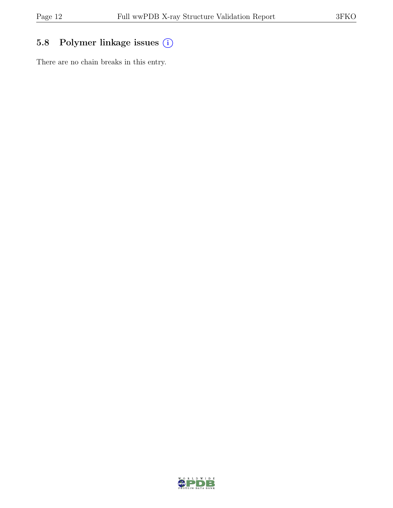# 5.8 Polymer linkage issues (i)

There are no chain breaks in this entry.

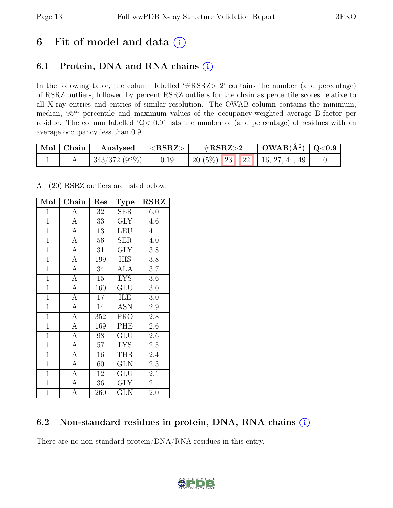# 6 Fit of model and data  $(i)$

## 6.1 Protein, DNA and RNA chains  $(i)$

In the following table, the column labelled ' $\#\text{RSRZ}>2$ ' contains the number (and percentage) of RSRZ outliers, followed by percent RSRZ outliers for the chain as percentile scores relative to all X-ray entries and entries of similar resolution. The OWAB column contains the minimum, median,  $95<sup>th</sup>$  percentile and maximum values of the occupancy-weighted average B-factor per residue. The column labelled 'Q< 0.9' lists the number of (and percentage) of residues with an average occupancy less than 0.9.

| $\mid$ Mol $\mid$ Chain | Analysed      | ${ <\bf RSRZ> }$ | $\rm \#RSRZ{>}2$                      | $\mid$ OWAB(Å <sup>2</sup> ) $\mid$ Q<0.9 |  |
|-------------------------|---------------|------------------|---------------------------------------|-------------------------------------------|--|
|                         | 343/372 (92%) | 0.19             | 20 $(5\%)$   23   22   16, 27, 44, 49 |                                           |  |

All (20) RSRZ outliers are listed below:

| Mol            | Chain          | Res | <b>Type</b>             | <b>RSRZ</b>      |
|----------------|----------------|-----|-------------------------|------------------|
| $\mathbf{1}$   | A              | 32  | SER                     | 6.0              |
| $\overline{1}$ | $\overline{A}$ | 33  | <b>GLY</b>              | 4.6              |
| $\overline{1}$ | $\overline{A}$ | 13  | LEU                     | 4.1              |
| $\overline{1}$ | $\overline{A}$ | 56  | <b>SER</b>              | 4.0              |
| $\overline{1}$ | $\overline{A}$ | 31  | $\overline{\text{GLY}}$ | $\overline{3.8}$ |
| $\mathbf{1}$   | $\overline{A}$ | 199 | <b>HIS</b>              | $3.8\,$          |
| $\overline{1}$ | $\overline{A}$ | 34  | <b>ALA</b>              | 3.7              |
| $\overline{1}$ | $\overline{A}$ | 15  | <b>LYS</b>              | 3.6              |
| $\overline{1}$ | $\overline{A}$ | 160 | <b>GLU</b>              | 3.0              |
| $\overline{1}$ | $\overline{A}$ | 17  | ILE                     | 3.0              |
| $\mathbf{1}$   | $\overline{A}$ | 14  | <b>ASN</b>              | 2.9              |
| $\mathbf{1}$   | $\overline{A}$ | 352 | <b>PRO</b>              | 2.8              |
| $\overline{1}$ | $\overline{A}$ | 169 | PHE                     | 2.6              |
| $\mathbf{1}$   | $\overline{A}$ | 98  | <b>GLU</b>              | $2.6\,$          |
| $\overline{1}$ | $\overline{A}$ | 57  | <b>LYS</b>              | 2.5              |
| $\overline{1}$ | $\mathbf{A}$   | 16  | <b>THR</b>              | 2.4              |
| $\overline{1}$ | $\overline{A}$ | 60  | <b>GLN</b>              | 2.3              |
| $\overline{1}$ | $\mathbf{A}$   | 12  | GLU                     | 2.1              |
| $\mathbf{1}$   | $\overline{A}$ | 36  | <b>GLY</b>              | 2.1              |
| $\mathbf{1}$   | A              | 260 | <b>GLN</b>              | 2.0              |

### 6.2 Non-standard residues in protein, DNA, RNA chains (i)

There are no non-standard protein/DNA/RNA residues in this entry.